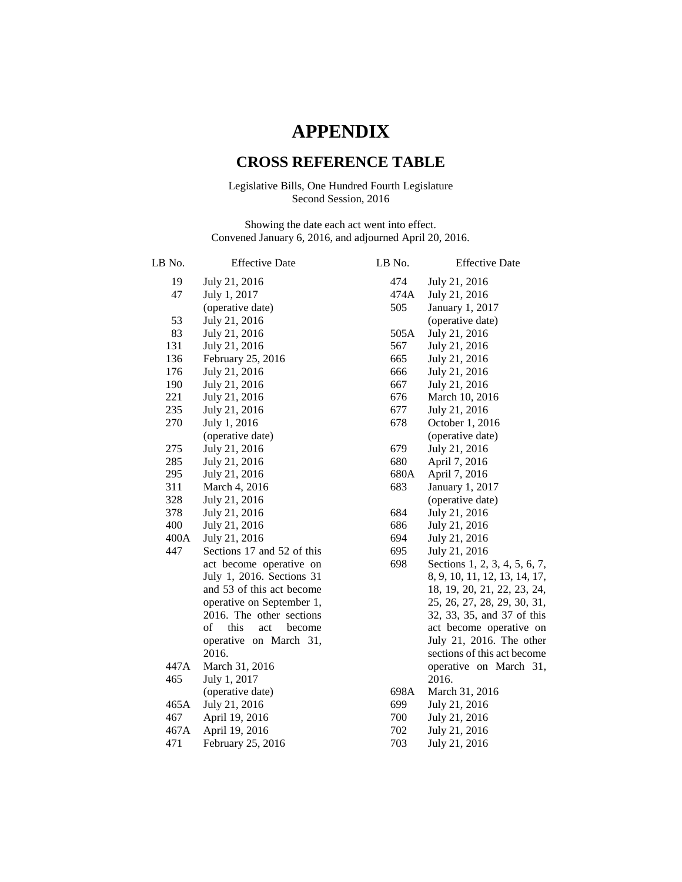## **APPENDIX**

## **CROSS REFERENCE TABLE**

## Legislative Bills, One Hundred Fourth Legislature Second Session, 2016

Showing the date each act went into effect. Convened January 6, 2016, and adjourned April 20, 2016.

| LB No.          | <b>Effective Date</b>                                 | LB No. | <b>Effective Date</b>                                     |
|-----------------|-------------------------------------------------------|--------|-----------------------------------------------------------|
| 19              | July 21, 2016                                         | 474    | July 21, 2016                                             |
| 47              | July 1, 2017                                          | 474A   | July 21, 2016                                             |
|                 | (operative date)                                      | 505    | January 1, 2017                                           |
| 53              | July 21, 2016                                         |        | (operative date)                                          |
| 83              | July 21, 2016                                         | 505A   | July 21, 2016                                             |
| 131             | July 21, 2016                                         | 567    | July 21, 2016                                             |
| 136             | February 25, 2016                                     | 665    | July 21, 2016                                             |
| 176             | July 21, 2016                                         | 666    | July 21, 2016                                             |
| 190             | July 21, 2016                                         | 667    | July 21, 2016                                             |
| 221             | July 21, 2016                                         | 676    | March 10, 2016                                            |
| 235             | July 21, 2016                                         | 677    | July 21, 2016                                             |
| 270             | July 1, 2016                                          | 678    | October 1, 2016                                           |
|                 | (operative date)                                      |        | (operative date)                                          |
| 275             | July 21, 2016                                         | 679    | July 21, 2016                                             |
| 285             | July 21, 2016                                         | 680    | April 7, 2016                                             |
| 295             | July 21, 2016                                         | 680A   | April 7, 2016                                             |
| 311             | March 4, 2016                                         | 683    | January 1, 2017                                           |
| 328             | July 21, 2016                                         |        | (operative date)                                          |
| 378             | July 21, 2016                                         | 684    | July 21, 2016                                             |
| 400             | July 21, 2016                                         | 686    | July 21, 2016                                             |
| $400\mathrm{A}$ | July 21, 2016                                         | 694    | July 21, 2016                                             |
| 447             | Sections 17 and 52 of this                            | 695    | July 21, 2016                                             |
|                 | act become operative on                               | 698    | Sections 1, 2, 3, 4, 5, 6, 7,                             |
|                 | July 1, 2016. Sections 31                             |        | 8, 9, 10, 11, 12, 13, 14, 17,                             |
|                 | and 53 of this act become                             |        | 18, 19, 20, 21, 22, 23, 24,                               |
|                 | operative on September 1,<br>2016. The other sections |        | 25, 26, 27, 28, 29, 30, 31,<br>32, 33, 35, and 37 of this |
|                 | of<br>this<br>become<br>act                           |        | act become operative on                                   |
|                 | operative on March 31,                                |        | July 21, 2016. The other                                  |
|                 | 2016.                                                 |        | sections of this act become                               |
| 447A            | March 31, 2016                                        |        | operative on March 31,                                    |
| 465             | July 1, 2017                                          |        | 2016.                                                     |
|                 | (operative date)                                      | 698A   | March 31, 2016                                            |
| 465A            | July 21, 2016                                         | 699    | July 21, 2016                                             |
| 467             | April 19, 2016                                        | 700    | July 21, 2016                                             |
| 467A            | April 19, 2016                                        | 702    | July 21, 2016                                             |
| 471             | February 25, 2016                                     | 703    | July 21, 2016                                             |
|                 |                                                       |        |                                                           |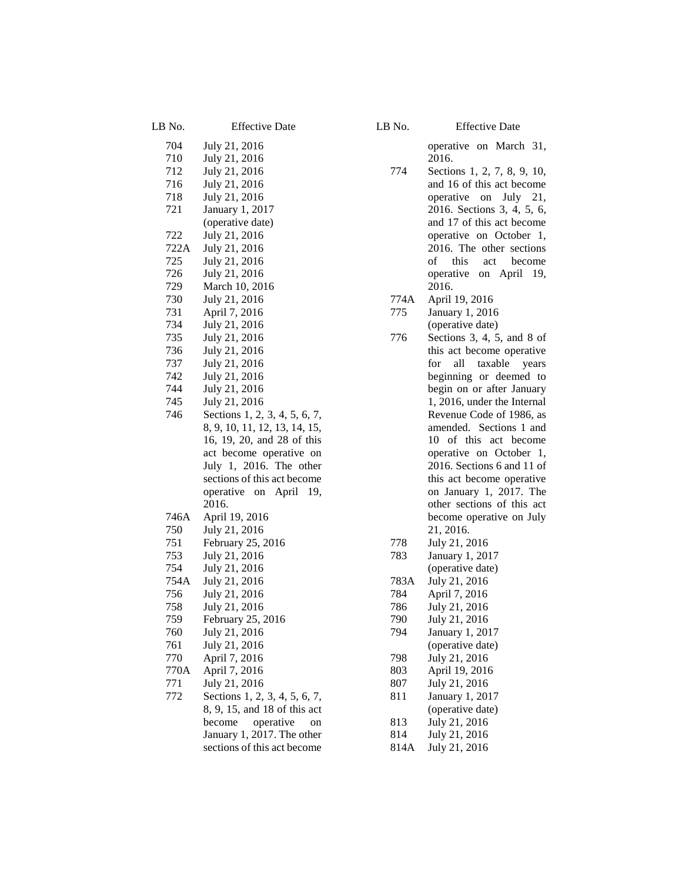| LB No.            | <b>Effective Date</b>                                          |
|-------------------|----------------------------------------------------------------|
| 704<br>710<br>712 | July 21, 2016<br>July 21, 2016<br>July 21, 2016                |
| 716               | July 21, 2016                                                  |
| 718               | July 21, 2016                                                  |
| 721               | January 1, 2017<br>(operative date)                            |
| 722               | July 21, 2016                                                  |
| 722A              | July 21, 2016                                                  |
| 725<br>726        | July 21, 2016<br>July 21, 2016                                 |
| 729               | March 10, 2016                                                 |
| 730               | July 21, 2016                                                  |
| 731               | April 7, 2016                                                  |
| 734               | July 21, 2016                                                  |
| 735<br>736        | July 21, 2016                                                  |
| 737               | July 21, 2016<br>July 21, 2016                                 |
| 742               | July 21, 2016                                                  |
| 744               | July 21, 2016                                                  |
| 745               | July 21, 2016                                                  |
| 746               | Sections 1, 2, 3, 4, 5, 6, 7,<br>8, 9, 10, 11, 12, 13, 14, 15, |
|                   | 16, 19, 20, and 28 of this                                     |
|                   | act become operative on                                        |
|                   | July 1, 2016. The other                                        |
|                   | sections of this act become                                    |
|                   | operative on April 19,<br>2016.                                |
| 746A              | April 19, 2016                                                 |
| 750               | July 21, 2016                                                  |
| 751               | February 25, 2016                                              |
| 753               | July 21, 2016                                                  |
| 754               | July 21, 2016                                                  |
| 754A<br>756       | July 21, 2016<br>July 21, 2016                                 |
| 758               | July 21, 2016                                                  |
| 759               | February 25, 2016                                              |
| 760               | July 21, 2016                                                  |
| 761               | July 21, 2016                                                  |
| 770<br>770A       | April 7, 2016<br>April 7, 2016                                 |
| 771               | July 21, 2016                                                  |
| 772               | Sections 1, 2, 3, 4, 5, 6, 7,                                  |
|                   | 8, 9, 15, and 18 of this act                                   |
|                   | become<br>operative<br>on                                      |
|                   | January 1, 2017. The other<br>sections of this act become      |
|                   |                                                                |

LB No. Effective Date

operative on March 31, 2016.

- 774 Sections 1, 2, 7, 8, 9, 10, and 16 of this act become operative on July 21, 2016. Sections 3, 4, 5, 6, and 17 of this act become operative on October 1, 2016. The other sections of this act become operative on April 19, 2016.
- 774A April 19, 2016

775 January 1, 2016 (operative date)

- 776 Sections 3, 4, 5, and 8 of this act become operative for all taxable years beginning or deemed to begin on or after January 1, 2016, under the Internal Revenue Code of 1986, as amended. Sections 1 and 10 of this act become operative on October 1, 2016. Sections 6 and 11 of this act become operative on January 1, 2017. The other sections of this act become operative on July 21, 2016.
- 778 July 21, 2016 783 January 1, 2017 (operative date) 783A July 21, 2016 784 April 7, 2016 786 July 21, 2016 790 July 21, 2016 794 January 1, 2017 (operative date) 798 July 21, 2016 803 April 19, 2016 807 July 21, 2016 811 January 1, 2017 (operative date) 813 July 21, 2016 814 July 21, 2016
- 814A July 21, 2016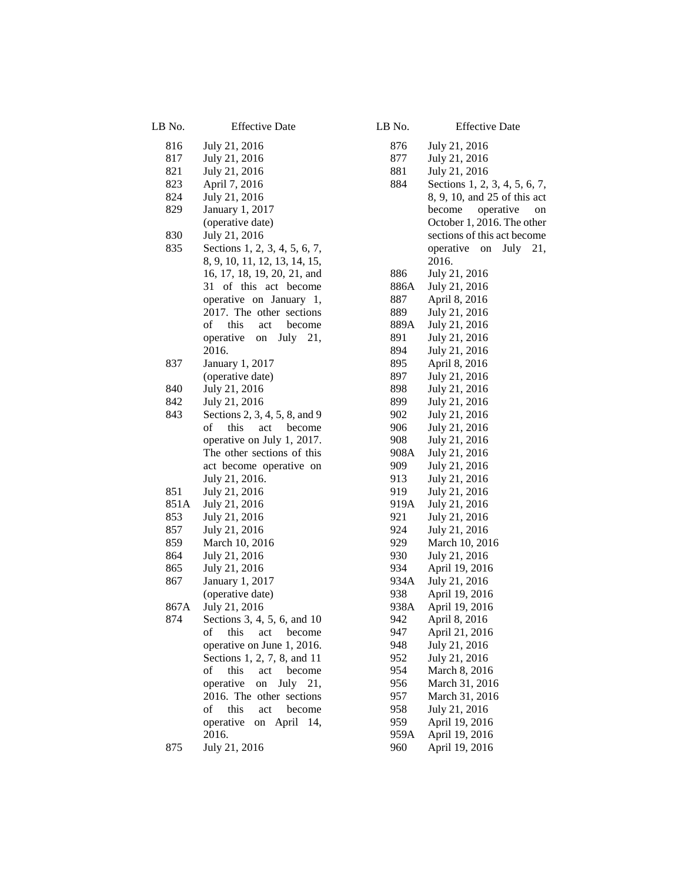| LB No. | <b>Effective Date</b>               | LB No. | <b>Effective Date</b>          |
|--------|-------------------------------------|--------|--------------------------------|
| 816    | July 21, 2016                       | 876    | July 21, 2016                  |
| 817    | July 21, 2016                       | 877    | July 21, 2016                  |
| 821    | July 21, 2016                       | 881    | July 21, 2016                  |
| 823    | April 7, 2016                       | 884    | Sections 1, 2, 3, 4, 5, 6, 7,  |
| 824    | July 21, 2016                       |        | 8, 9, 10, and 25 of this act   |
| 829    | January 1, 2017                     |        | become<br>operative<br>on      |
|        | (operative date)                    |        | October 1, 2016. The other     |
| 830    | July 21, 2016                       |        | sections of this act become    |
| 835    | Sections 1, 2, 3, 4, 5, 6, 7,       |        | operative<br>on<br>July<br>21, |
|        | 8, 9, 10, 11, 12, 13, 14, 15,       |        | 2016.                          |
|        | 16, 17, 18, 19, 20, 21, and         | 886    | July 21, 2016                  |
|        | 31 of this act become               | 886A   | July 21, 2016                  |
|        | operative on January 1,             | 887    | April 8, 2016                  |
|        | 2017. The other sections            | 889    | July 21, 2016                  |
|        | of<br>this<br>become<br>act         | 889A   | July 21, 2016                  |
|        | July 21,<br>operative<br>${\bf on}$ | 891    | July 21, 2016                  |
|        | 2016.                               | 894    | July 21, 2016                  |
| 837    | January 1, 2017                     | 895    | April 8, 2016                  |
|        | (operative date)                    | 897    | July 21, 2016                  |
| 840    | July 21, 2016                       | 898    | July 21, 2016                  |
| 842    | July 21, 2016                       | 899    | July 21, 2016                  |
| 843    | Sections 2, 3, 4, 5, 8, and 9       | 902    | July 21, 2016                  |
|        | of<br>this<br>act<br>become         | 906    | July 21, 2016                  |
|        | operative on July 1, 2017.          | 908    | July 21, 2016                  |
|        | The other sections of this          | 908A   | July 21, 2016                  |
|        | act become operative on             | 909    | July 21, 2016                  |
|        | July 21, 2016.                      | 913    | July 21, 2016                  |
| 851    | July 21, 2016                       | 919    | July 21, 2016                  |
| 851A   | July 21, 2016                       | 919A   | July 21, 2016                  |
| 853    | July 21, 2016                       | 921    | July 21, 2016                  |
| 857    | July 21, 2016                       | 924    | July 21, 2016                  |
| 859    | March 10, 2016                      | 929    | March 10, 2016                 |
| 864    | July 21, 2016                       | 930    | July 21, 2016                  |
| 865    | July 21, 2016                       | 934    | April 19, 2016                 |
| 867    | January 1, 2017                     | 934A   | July 21, 2016                  |
|        | (operative date)                    | 938    | April 19, 2016                 |
| 867A   | July 21, 2016                       | 938A   | April 19, 2016                 |
| 874    | Sections 3, 4, 5, 6, and 10         | 942    | April 8, 2016                  |
|        | this<br>οf<br>act<br>become         | 947    | April 21, 2016                 |
|        | operative on June 1, 2016.          | 948    | July 21, 2016                  |
|        | Sections 1, 2, 7, 8, and 11         | 952    | July 21, 2016                  |
|        | of<br>this<br>act<br>become         | 954    | March 8, 2016                  |
|        | operative<br>on<br>July 21,         | 956    | March 31, 2016                 |
|        | 2016. The other sections            | 957    | March 31, 2016                 |
|        | this<br>become<br>of<br>act         | 958    | July 21, 2016                  |
|        | operative<br>on April 14,           | 959    | April 19, 2016                 |
|        | 2016.                               | 959A   | April 19, 2016                 |
| 875    | July 21, 2016                       | 960    | April 19, 2016                 |
|        |                                     |        |                                |